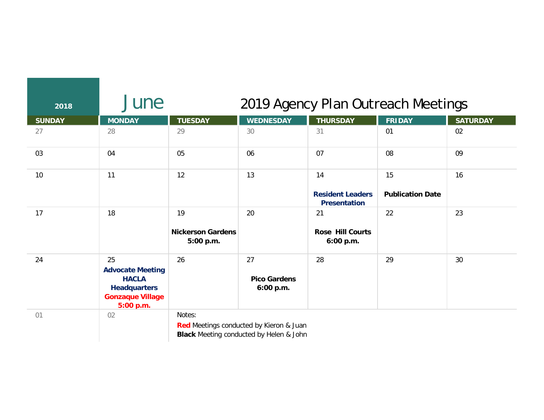| 2018          | June                                                                                                         | 2019 Agency Plan Outreach Meetings          |                                                                                           |                                                      |                               |                 |
|---------------|--------------------------------------------------------------------------------------------------------------|---------------------------------------------|-------------------------------------------------------------------------------------------|------------------------------------------------------|-------------------------------|-----------------|
| <b>SUNDAY</b> | <b>MONDAY</b>                                                                                                | <b>TUESDAY</b>                              | <b>WEDNESDAY</b>                                                                          | <b>THURSDAY</b>                                      | <b>FRIDAY</b>                 | <b>SATURDAY</b> |
| 27            | 28                                                                                                           | 29                                          | 30                                                                                        | 31                                                   | 01                            | 02              |
| 03            | 04                                                                                                           | 05                                          | 06                                                                                        | 07                                                   | 08                            | 09              |
| 10            | 11                                                                                                           | 12                                          | 13                                                                                        | 14<br><b>Resident Leaders</b><br><b>Presentation</b> | 15<br><b>Publication Date</b> | 16              |
| 17            | 18                                                                                                           | 19<br><b>Nickerson Gardens</b><br>5:00 p.m. | 20                                                                                        | 21<br><b>Rose Hill Courts</b><br>6:00 p.m.           | 22                            | 23              |
| 24            | 25<br><b>Advocate Meeting</b><br><b>HACLA</b><br><b>Headquarters</b><br><b>Gonzaque Village</b><br>5:00 p.m. | 26                                          | 27<br><b>Pico Gardens</b><br>6:00 p.m.                                                    | 28                                                   | 29                            | 30              |
| 01            | 02                                                                                                           | Notes:                                      | Red Meetings conducted by Kieron & Juan<br><b>Black</b> Meeting conducted by Helen & John |                                                      |                               |                 |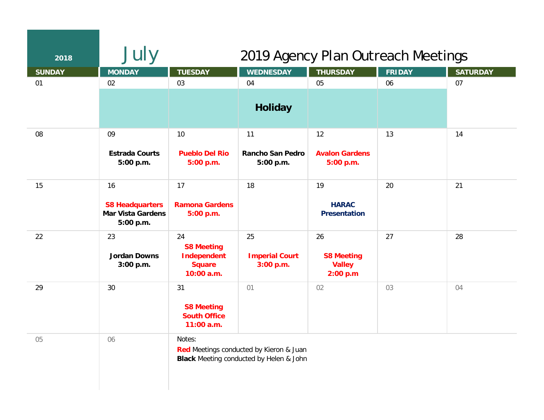| 2018          | July                                                                  | 2019 Agency Plan Outreach Meetings                                           |                                                                                           |                                                      |               |                 |  |
|---------------|-----------------------------------------------------------------------|------------------------------------------------------------------------------|-------------------------------------------------------------------------------------------|------------------------------------------------------|---------------|-----------------|--|
| <b>SUNDAY</b> | <b>MONDAY</b>                                                         | <b>TUESDAY</b>                                                               | <b>WEDNESDAY</b>                                                                          | <b>THURSDAY</b>                                      | <b>FRIDAY</b> | <b>SATURDAY</b> |  |
| 01            | 02                                                                    | 03                                                                           | 04                                                                                        | 05                                                   | 06            | 07              |  |
|               |                                                                       |                                                                              | <b>Holiday</b>                                                                            |                                                      |               |                 |  |
| 08            | 09                                                                    | 10                                                                           | 11                                                                                        | 12                                                   | 13            | 14              |  |
|               | <b>Estrada Courts</b><br>5:00 p.m.                                    | <b>Pueblo Del Rio</b><br>5:00 p.m.                                           | Rancho San Pedro<br>5:00 p.m.                                                             | <b>Avalon Gardens</b><br>5:00 p.m.                   |               |                 |  |
| 15            | 16<br><b>S8 Headquarters</b><br><b>Mar Vista Gardens</b><br>5:00 p.m. | 17<br><b>Ramona Gardens</b><br>5:00 p.m.                                     | 18                                                                                        | 19<br><b>HARAC</b><br><b>Presentation</b>            | 20            | 21              |  |
| 22            | 23<br><b>Jordan Downs</b><br>3:00 p.m.                                | 24<br><b>S8 Meeting</b><br><b>Independent</b><br><b>Square</b><br>10:00 a.m. | 25<br><b>Imperial Court</b><br>3:00 p.m.                                                  | 26<br><b>S8 Meeting</b><br><b>Valley</b><br>2:00 p.m | 27            | 28              |  |
| 29            | 30                                                                    | 31<br><b>S8 Meeting</b><br><b>South Office</b><br>11:00 a.m.                 | 01                                                                                        | 02                                                   | 03            | 04              |  |
| 05            | 06                                                                    | Notes:                                                                       | Red Meetings conducted by Kieron & Juan<br><b>Black</b> Meeting conducted by Helen & John |                                                      |               |                 |  |